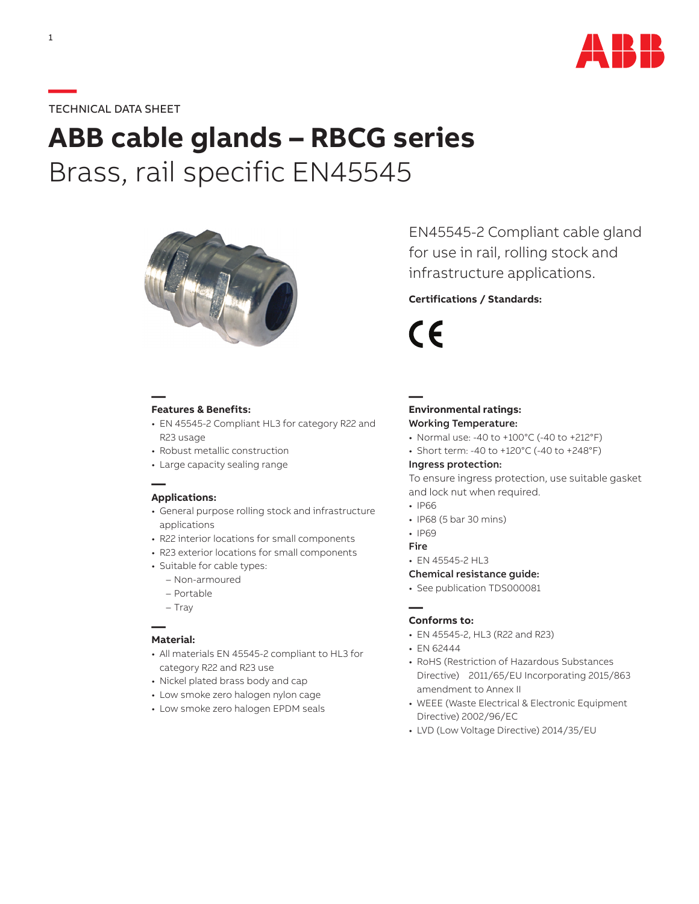

# **—**TECHNICAL DATA SHEET

# **ABB cable glands – RBCG series** Brass, rail specific EN45545



### **Features & Benefits:**

**—**

- EN 45545-2 Compliant HL3 for category R22 and R23 usage
- Robust metallic construction
- Large capacity sealing range

# **— Applications:**

- General purpose rolling stock and infrastructure applications
- R22 interior locations for small components
- R23 exterior locations for small components
- Suitable for cable types:
	- Non-armoured
	- Portable
	- Tray

# **— Material:**

- All materials EN 45545-2 compliant to HL3 for category R22 and R23 use
- Nickel plated brass body and cap
- Low smoke zero halogen nylon cage
- Low smoke zero halogen EPDM seals

EN45545-2 Compliant cable gland for use in rail, rolling stock and infrastructure applications.

# **Certifications / Standards:**

(  $\epsilon$ 

**—**

# **Environmental ratings:** Working Temperature:

- Normal use: -40 to +100°C (-40 to +212°F)
- Short term: -40 to +120°C (-40 to +248°F)

#### Ingress protection:

To ensure ingress protection, use suitable gasket and lock nut when required.

- IP66
- IP68 (5 bar 30 mins)
- IP69
- Fire
- EN 45545-2 HL3

#### Chemical resistance guide:

• See publication TDS000081

## **— Conforms to:**

- EN 45545-2, HL3 (R22 and R23)
- EN 62444
- RoHS (Restriction of Hazardous Substances Directive) 2011/65/EU Incorporating 2015/863 amendment to Annex II
- WEEE (Waste Electrical & Electronic Equipment Directive) 2002/96/EC
- LVD (Low Voltage Directive) 2014/35/EU